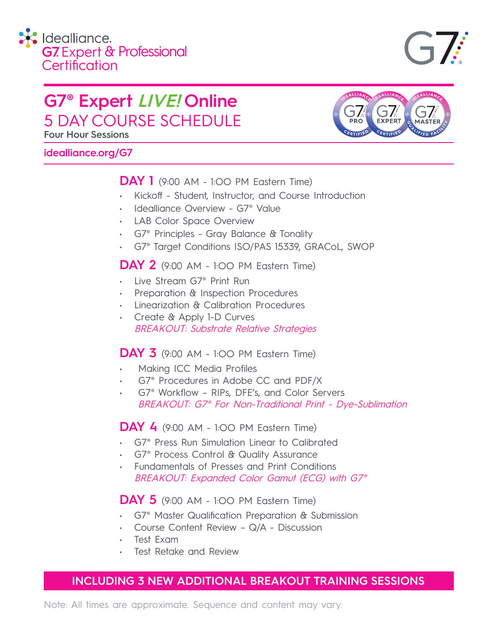

## **G7® Expert LIVE! Online** 5 DAY COURSE SCHEDULE

**Four Hour Sessions**

## **idealliance.org/G7**

## **DAY 1** (9:00 AM - 1:OO PM Eastern Time)

- Kickoff Student, Instructor, and Course Introduction
- Idealliance Overview G7® Value
- **LAB Color Space Overview**
- G7® Principles Gray Balance & Tonality
- G7® Target Conditions ISO/PAS 15339, GRACoL, SWOP

## **DAY 2** (9:00 AM - 1:OO PM Eastern Time)

- Live Stream G7® Print Run
- Preparation & Inspection Procedures
- Linearization & Calibration Procedures
- Create & Apply 1-D Curves BREAKOUT: Substrate Relative Strategies

## **DAY 3** (9:00 AM - 1:OO PM Eastern Time)

- Making ICC Media Profiles
- G7® Procedures in Adobe CC and PDF/X
- G7® Workflow RIPs, DFE's, and Color Servers BREAKOUT: G7® For Non-Traditional Print - Dye-Sublimation

**DAY 4** (9:00 AM - 1:OO PM Eastern Time)

- G7® Press Run Simulation Linear to Calibrated
- G7® Process Control & Quality Assurance
- Fundamentals of Presses and Print Conditions BREAKOUT: Expanded Color Gamut (ECG) with G7®

## **DAY 5** (9:00 AM - 1:OO PM Eastern Time)

- G7® Master Qualification Preparation & Submission
- Course Content Review Q/A Discussion
- Test Exam
- Test Retake and Review

## **INCLUDING 3 NEW ADDITIONAL BREAKOUT TRAINING SESSIONS**

Note: All times are approximate. Sequence and content may vary.